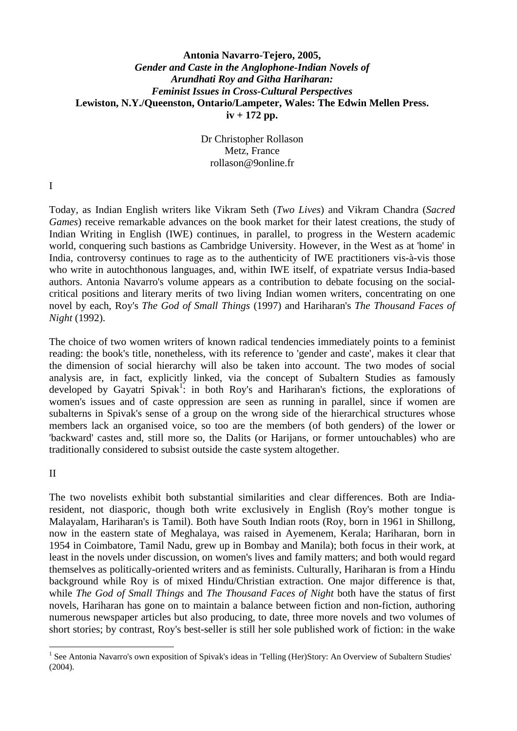# **Antonia Navarro-Tejero, 2005,**  *Gender and Caste in the Anglophone-Indian Novels of Arundhati Roy and Githa Hariharan: Feminist Issues in Cross-Cultural Perspectives*  **Lewiston, N.Y./Queenston, Ontario/Lampeter, Wales: The Edwin Mellen Press. iv + 172 pp.**

Dr Christopher Rollason Metz, France rollason@9online.fr

I

Today, as Indian English writers like Vikram Seth (*Two Lives*) and Vikram Chandra (*Sacred Games*) receive remarkable advances on the book market for their latest creations, the study of Indian Writing in English (IWE) continues, in parallel, to progress in the Western academic world, conquering such bastions as Cambridge University. However, in the West as at 'home' in India, controversy continues to rage as to the authenticity of IWE practitioners vis-à-vis those who write in autochthonous languages, and, within IWE itself, of expatriate versus India-based authors. Antonia Navarro's volume appears as a contribution to debate focusing on the socialcritical positions and literary merits of two living Indian women writers, concentrating on one novel by each, Roy's *The God of Small Things* (1997) and Hariharan's *The Thousand Faces of Night* (1992).

The choice of two women writers of known radical tendencies immediately points to a feminist reading: the book's title, nonetheless, with its reference to 'gender and caste', makes it clear that the dimension of social hierarchy will also be taken into account. The two modes of social analysis are, in fact, explicitly linked, via the concept of Subaltern Studies as famously developed by Gayatri Spivak<sup>1</sup>: in both Roy's and Hariharan's fictions, the explorations of women's issues and of caste oppression are seen as running in parallel, since if women are subalterns in Spivak's sense of a group on the wrong side of the hierarchical structures whose members lack an organised voice, so too are the members (of both genders) of the lower or 'backward' castes and, still more so, the Dalits (or Harijans, or former untouchables) who are traditionally considered to subsist outside the caste system altogether.

## II

<u>.</u>

The two novelists exhibit both substantial similarities and clear differences. Both are Indiaresident, not diasporic, though both write exclusively in English (Roy's mother tongue is Malayalam, Hariharan's is Tamil). Both have South Indian roots (Roy, born in 1961 in Shillong, now in the eastern state of Meghalaya, was raised in Ayemenem, Kerala; Hariharan, born in 1954 in Coimbatore, Tamil Nadu, grew up in Bombay and Manila); both focus in their work, at least in the novels under discussion, on women's lives and family matters; and both would regard themselves as politically-oriented writers and as feminists. Culturally, Hariharan is from a Hindu background while Roy is of mixed Hindu/Christian extraction. One major difference is that, while *The God of Small Things* and *The Thousand Faces of Night* both have the status of first novels, Hariharan has gone on to maintain a balance between fiction and non-fiction, authoring numerous newspaper articles but also producing, to date, three more novels and two volumes of short stories; by contrast, Roy's best-seller is still her sole published work of fiction: in the wake

<sup>&</sup>lt;sup>1</sup> See Antonia Navarro's own exposition of Spivak's ideas in 'Telling (Her)Story: An Overview of Subaltern Studies' (2004).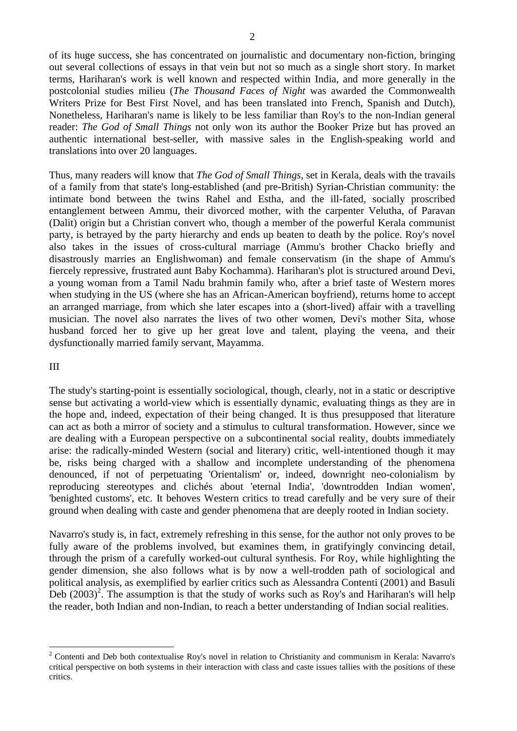of its huge success, she has concentrated on journalistic and documentary non-fiction, bringing out several collections of essays in that vein but not so much as a single short story. In market terms, Hariharan's work is well known and respected within India, and more generally in the postcolonial studies milieu (*The Thousand Faces of Night* was awarded the Commonwealth Writers Prize for Best First Novel, and has been translated into French, Spanish and Dutch), Nonetheless, Hariharan's name is likely to be less familiar than Roy's to the non-Indian general reader: *The God of Small Things* not only won its author the Booker Prize but has proved an authentic international best-seller, with massive sales in the English-speaking world and translations into over 20 languages.

Thus, many readers will know that *The God of Small Things*, set in Kerala, deals with the travails of a family from that state's long-established (and pre-British) Syrian-Christian community: the intimate bond between the twins Rahel and Estha, and the ill-fated, socially proscribed entanglement between Ammu, their divorced mother, with the carpenter Velutha, of Paravan (Dalit) origin but a Christian convert who, though a member of the powerful Kerala communist party, is betrayed by the party hierarchy and ends up beaten to death by the police. Roy's novel also takes in the issues of cross-cultural marriage (Ammu's brother Chacko briefly and disastrously marries an Englishwoman) and female conservatism (in the shape of Ammu's fiercely repressive, frustrated aunt Baby Kochamma). Hariharan's plot is structured around Devi, a young woman from a Tamil Nadu brahmin family who, after a brief taste of Western mores when studying in the US (where she has an African-American boyfriend), returns home to accept an arranged marriage, from which she later escapes into a (short-lived) affair with a travelling musician. The novel also narrates the lives of two other women, Devi's mother Sita, whose husband forced her to give up her great love and talent, playing the veena, and their dysfunctionally married family servant, Mayamma.

#### III

<u>.</u>

The study's starting-point is essentially sociological, though, clearly, not in a static or descriptive sense but activating a world-view which is essentially dynamic, evaluating things as they are in the hope and, indeed, expectation of their being changed. It is thus presupposed that literature can act as both a mirror of society and a stimulus to cultural transformation. However, since we are dealing with a European perspective on a subcontinental social reality, doubts immediately arise: the radically-minded Western (social and literary) critic, well-intentioned though it may be, risks being charged with a shallow and incomplete understanding of the phenomena denounced, if not of perpetuating 'Orientalism' or, indeed, downright neo-colonialism by reproducing stereotypes and clichés about 'eternal India', 'downtrodden Indian women', 'benighted customs', etc. It behoves Western critics to tread carefully and be very sure of their ground when dealing with caste and gender phenomena that are deeply rooted in Indian society.

Navarro's study is, in fact, extremely refreshing in this sense, for the author not only proves to be fully aware of the problems involved, but examines them, in gratifyingly convincing detail, through the prism of a carefully worked-out cultural synthesis. For Roy, while highlighting the gender dimension, she also follows what is by now a well-trodden path of sociological and political analysis, as exemplified by earlier critics such as Alessandra Contenti (2001) and Basuli Deb  $(2003)^2$ . The assumption is that the study of works such as Roy's and Hariharan's will help the reader, both Indian and non-Indian, to reach a better understanding of Indian social realities.

<sup>&</sup>lt;sup>2</sup> Contenti and Deb both contextualise Roy's novel in relation to Christianity and communism in Kerala: Navarro's critical perspective on both systems in their interaction with class and caste issues tallies with the positions of these critics.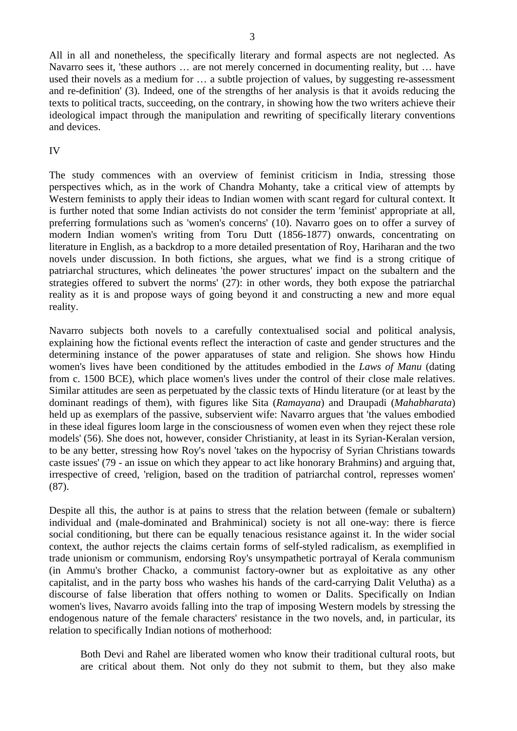All in all and nonetheless, the specifically literary and formal aspects are not neglected. As Navarro sees it, 'these authors … are not merely concerned in documenting reality, but … have used their novels as a medium for … a subtle projection of values, by suggesting re-assessment and re-definition' (3). Indeed, one of the strengths of her analysis is that it avoids reducing the texts to political tracts, succeeding, on the contrary, in showing how the two writers achieve their ideological impact through the manipulation and rewriting of specifically literary conventions and devices.

## IV

The study commences with an overview of feminist criticism in India, stressing those perspectives which, as in the work of Chandra Mohanty, take a critical view of attempts by Western feminists to apply their ideas to Indian women with scant regard for cultural context. It is further noted that some Indian activists do not consider the term 'feminist' appropriate at all, preferring formulations such as 'women's concerns' (10). Navarro goes on to offer a survey of modern Indian women's writing from Toru Dutt (1856-1877) onwards, concentrating on literature in English, as a backdrop to a more detailed presentation of Roy, Hariharan and the two novels under discussion. In both fictions, she argues, what we find is a strong critique of patriarchal structures, which delineates 'the power structures' impact on the subaltern and the strategies offered to subvert the norms' (27): in other words, they both expose the patriarchal reality as it is and propose ways of going beyond it and constructing a new and more equal reality.

Navarro subjects both novels to a carefully contextualised social and political analysis, explaining how the fictional events reflect the interaction of caste and gender structures and the determining instance of the power apparatuses of state and religion. She shows how Hindu women's lives have been conditioned by the attitudes embodied in the *Laws of Manu* (dating from c. 1500 BCE), which place women's lives under the control of their close male relatives. Similar attitudes are seen as perpetuated by the classic texts of Hindu literature (or at least by the dominant readings of them), with figures like Sita (*Ramayana*) and Draupadi (*Mahabharata*) held up as exemplars of the passive, subservient wife: Navarro argues that 'the values embodied in these ideal figures loom large in the consciousness of women even when they reject these role models' (56). She does not, however, consider Christianity, at least in its Syrian-Keralan version, to be any better, stressing how Roy's novel 'takes on the hypocrisy of Syrian Christians towards caste issues' (79 - an issue on which they appear to act like honorary Brahmins) and arguing that, irrespective of creed, 'religion, based on the tradition of patriarchal control, represses women' (87).

Despite all this, the author is at pains to stress that the relation between (female or subaltern) individual and (male-dominated and Brahminical) society is not all one-way: there is fierce social conditioning, but there can be equally tenacious resistance against it. In the wider social context, the author rejects the claims certain forms of self-styled radicalism, as exemplified in trade unionism or communism, endorsing Roy's unsympathetic portrayal of Kerala communism (in Ammu's brother Chacko, a communist factory-owner but as exploitative as any other capitalist, and in the party boss who washes his hands of the card-carrying Dalit Velutha) as a discourse of false liberation that offers nothing to women or Dalits. Specifically on Indian women's lives, Navarro avoids falling into the trap of imposing Western models by stressing the endogenous nature of the female characters' resistance in the two novels, and, in particular, its relation to specifically Indian notions of motherhood:

Both Devi and Rahel are liberated women who know their traditional cultural roots, but are critical about them. Not only do they not submit to them, but they also make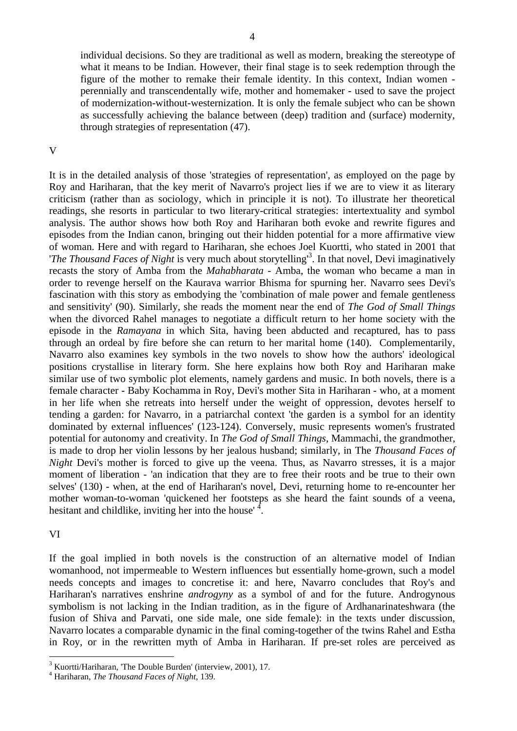individual decisions. So they are traditional as well as modern, breaking the stereotype of what it means to be Indian. However, their final stage is to seek redemption through the figure of the mother to remake their female identity. In this context, Indian women perennially and transcendentally wife, mother and homemaker - used to save the project of modernization-without-westernization. It is only the female subject who can be shown as successfully achieving the balance between (deep) tradition and (surface) modernity, through strategies of representation (47).

#### V

It is in the detailed analysis of those 'strategies of representation', as employed on the page by Roy and Hariharan, that the key merit of Navarro's project lies if we are to view it as literary criticism (rather than as sociology, which in principle it is not). To illustrate her theoretical readings, she resorts in particular to two literary-critical strategies: intertextuality and symbol analysis. The author shows how both Roy and Hariharan both evoke and rewrite figures and episodes from the Indian canon, bringing out their hidden potential for a more affirmative view of woman. Here and with regard to Hariharan, she echoes Joel Kuortti, who stated in 2001 that '*The Thousand Faces of Night* is very much about storytelling'<sup>3</sup> . In that novel, Devi imaginatively recasts the story of Amba from the *Mahabharata* - Amba, the woman who became a man in order to revenge herself on the Kaurava warrior Bhisma for spurning her. Navarro sees Devi's fascination with this story as embodying the 'combination of male power and female gentleness and sensitivity' (90). Similarly, she reads the moment near the end of *The God of Small Things* when the divorced Rahel manages to negotiate a difficult return to her home society with the episode in the *Ramayana* in which Sita, having been abducted and recaptured, has to pass through an ordeal by fire before she can return to her marital home (140). Complementarily, Navarro also examines key symbols in the two novels to show how the authors' ideological positions crystallise in literary form. She here explains how both Roy and Hariharan make similar use of two symbolic plot elements, namely gardens and music. In both novels, there is a female character - Baby Kochamma in Roy, Devi's mother Sita in Hariharan - who, at a moment in her life when she retreats into herself under the weight of oppression, devotes herself to tending a garden: for Navarro, in a patriarchal context 'the garden is a symbol for an identity dominated by external influences' (123-124). Conversely, music represents women's frustrated potential for autonomy and creativity. In *The God of Small Things*, Mammachi, the grandmother, is made to drop her violin lessons by her jealous husband; similarly, in The *Thousand Faces of Night* Devi's mother is forced to give up the veena. Thus, as Navarro stresses, it is a major moment of liberation - 'an indication that they are to free their roots and be true to their own selves' (130) - when, at the end of Hariharan's novel, Devi, returning home to re-encounter her mother woman-to-woman 'quickened her footsteps as she heard the faint sounds of a veena, hesitant and childlike, inviting her into the house'  $4$ .

## VI

1

If the goal implied in both novels is the construction of an alternative model of Indian womanhood, not impermeable to Western influences but essentially home-grown, such a model needs concepts and images to concretise it: and here, Navarro concludes that Roy's and Hariharan's narratives enshrine *androgyny* as a symbol of and for the future. Androgynous symbolism is not lacking in the Indian tradition, as in the figure of Ardhanarinateshwara (the fusion of Shiva and Parvati, one side male, one side female): in the texts under discussion, Navarro locates a comparable dynamic in the final coming-together of the twins Rahel and Estha in Roy, or in the rewritten myth of Amba in Hariharan. If pre-set roles are perceived as

<sup>&</sup>lt;sup>3</sup> Kuortti/Hariharan, 'The Double Burden' (interview, 2001), 17.

<sup>4</sup> Hariharan, *The Thousand Faces of Night,* 139.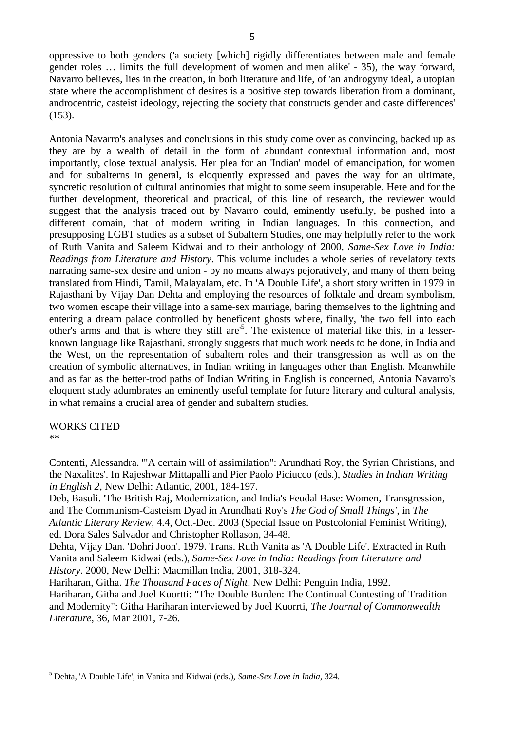oppressive to both genders ('a society [which] rigidly differentiates between male and female gender roles … limits the full development of women and men alike' - 35), the way forward, Navarro believes, lies in the creation, in both literature and life, of 'an androgyny ideal, a utopian state where the accomplishment of desires is a positive step towards liberation from a dominant, androcentric, casteist ideology, rejecting the society that constructs gender and caste differences' (153).

Antonia Navarro's analyses and conclusions in this study come over as convincing, backed up as they are by a wealth of detail in the form of abundant contextual information and, most importantly, close textual analysis. Her plea for an 'Indian' model of emancipation, for women and for subalterns in general, is eloquently expressed and paves the way for an ultimate, syncretic resolution of cultural antinomies that might to some seem insuperable. Here and for the further development, theoretical and practical, of this line of research, the reviewer would suggest that the analysis traced out by Navarro could, eminently usefully, be pushed into a different domain, that of modern writing in Indian languages. In this connection, and presupposing LGBT studies as a subset of Subaltern Studies, one may helpfully refer to the work of Ruth Vanita and Saleem Kidwai and to their anthology of 2000, *Same-Sex Love in India: Readings from Literature and History*. This volume includes a whole series of revelatory texts narrating same-sex desire and union - by no means always pejoratively, and many of them being translated from Hindi, Tamil, Malayalam, etc. In 'A Double Life', a short story written in 1979 in Rajasthani by Vijay Dan Dehta and employing the resources of folktale and dream symbolism, two women escape their village into a same-sex marriage, baring themselves to the lightning and entering a dream palace controlled by beneficent ghosts where, finally, 'the two fell into each other's arms and that is where they still are<sup>15</sup>. The existence of material like this, in a lesserknown language like Rajasthani, strongly suggests that much work needs to be done, in India and the West, on the representation of subaltern roles and their transgression as well as on the creation of symbolic alternatives, in Indian writing in languages other than English. Meanwhile and as far as the better-trod paths of Indian Writing in English is concerned, Antonia Navarro's eloquent study adumbrates an eminently useful template for future literary and cultural analysis, in what remains a crucial area of gender and subaltern studies.

WORKS CITED

\*\*

1

Contenti, Alessandra. '"A certain will of assimilation": Arundhati Roy, the Syrian Christians, and the Naxalites'. In Rajeshwar Mittapalli and Pier Paolo Piciucco (eds.), *Studies in Indian Writing in English 2*, New Delhi: Atlantic, 2001, 184-197.

Deb, Basuli. 'The British Raj, Modernization, and India's Feudal Base: Women, Transgression, and The Communism-Casteism Dyad in Arundhati Roy's *The God of Small Things'*, in *The Atlantic Literary Review*, 4.4, Oct.-Dec. 2003 (Special Issue on Postcolonial Feminist Writing), ed. Dora Sales Salvador and Christopher Rollason, 34-48.

Dehta, Vijay Dan. 'Dohri Joon'. 1979. Trans. Ruth Vanita as 'A Double Life'. Extracted in Ruth Vanita and Saleem Kidwai (eds.), *Same-Sex Love in India: Readings from Literature and History*. 2000, New Delhi: Macmillan India, 2001, 318-324.

Hariharan, Githa. *The Thousand Faces of Night*. New Delhi: Penguin India, 1992. Hariharan, Githa and Joel Kuortti: "The Double Burden: The Continual Contesting of Tradition and Modernity": Githa Hariharan interviewed by Joel Kuorrti, *The Journal of Commonwealth Literature*, 36, Mar 2001, 7-26.

<sup>5</sup> Dehta, 'A Double Life', in Vanita and Kidwai (eds.), *Same-Sex Love in India*, 324.